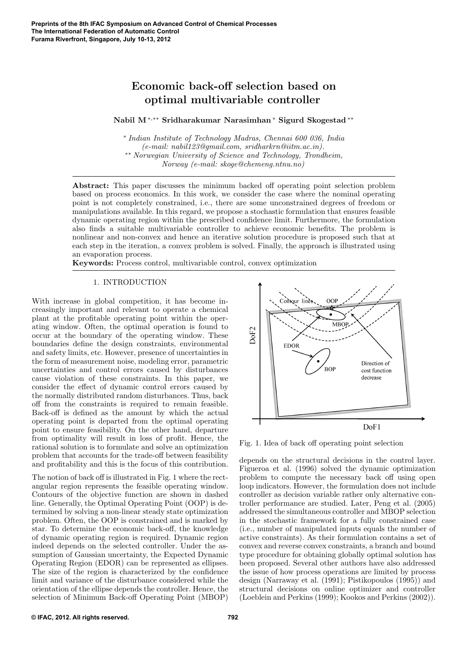# Economic back-off selection based on optimal multivariable controller

Nabil M∗,∗∗ Sridharakumar Narasimhan <sup>∗</sup> Sigurd Skogestad ∗∗

∗ Indian Institute of Technology Madras, Chennai 600 036, India (e-mail: nabil123@gmail.com, sridharkrn@iitm.ac.in). ∗∗ Norwegian University of Science and Technology, Trondheim, Norway (e-mail: skoge@chemeng.ntnu.no)

Abstract: This paper discusses the minimum backed off operating point selection problem based on process economics. In this work, we consider the case where the nominal operating point is not completely constrained, i.e., there are some unconstrained degrees of freedom or manipulations available. In this regard, we propose a stochastic formulation that ensures feasible dynamic operating region within the prescribed confidence limit. Furthermore, the formulation also finds a suitable multivariable controller to achieve economic benefits. The problem is nonlinear and non-convex and hence an iterative solution procedure is proposed such that at each step in the iteration, a convex problem is solved. Finally, the approach is illustrated using an evaporation process.

Keywords: Process control, multivariable control, convex optimization

# 1. INTRODUCTION

With increase in global competition, it has become increasingly important and relevant to operate a chemical plant at the profitable operating point within the operating window. Often, the optimal operation is found to occur at the boundary of the operating window. These boundaries define the design constraints, environmental and safety limits, etc. However, presence of uncertainties in the form of measurement noise, modeling error, parametric uncertainties and control errors caused by disturbances cause violation of these constraints. In this paper, we consider the effect of dynamic control errors caused by the normally distributed random disturbances. Thus, back off from the constraints is required to remain feasible. Back-off is defined as the amount by which the actual operating point is departed from the optimal operating point to ensure feasibility. On the other hand, departure from optimality will result in loss of profit. Hence, the rational solution is to formulate and solve an optimization problem that accounts for the trade-off between feasibility and profitability and this is the focus of this contribution.

The notion of back off is illustrated in Fig. 1 where the rectangular region represents the feasible operating window. Contours of the objective function are shown in dashed line. Generally, the Optimal Operating Point (OOP) is determined by solving a non-linear steady state optimization problem. Often, the OOP is constrained and is marked by star. To determine the economic back-off, the knowledge of dynamic operating region is required. Dynamic region indeed depends on the selected controller. Under the assumption of Gaussian uncertainty, the Expected Dynamic Operating Region (EDOR) can be represented as ellipses. The size of the region is characterized by the confidence limit and variance of the disturbance considered while the orientation of the ellipse depends the controller. Hence, the selection of Minimum Back-off Operating Point (MBOP)



Fig. 1. Idea of back off operating point selection

depends on the structural decisions in the control layer. Figueroa et al. (1996) solved the dynamic optimization problem to compute the necessary back off using open loop indicators. However, the formulation does not include controller as decision variable rather only alternative controller performance are studied. Later, Peng et al. (2005) addressed the simultaneous controller and MBOP selection in the stochastic framework for a fully constrained case (i.e., number of manipulated inputs equals the number of active constraints). As their formulation contains a set of convex and reverse convex constraints, a branch and bound type procedure for obtaining globally optimal solution has been proposed. Several other authors have also addressed the issue of how process operations are limited by process design (Narraway et al. (1991); Pistikopoulos (1995)) and structural decisions on online optimizer and controller (Loeblein and Perkins (1999); Kookos and Perkins (2002)).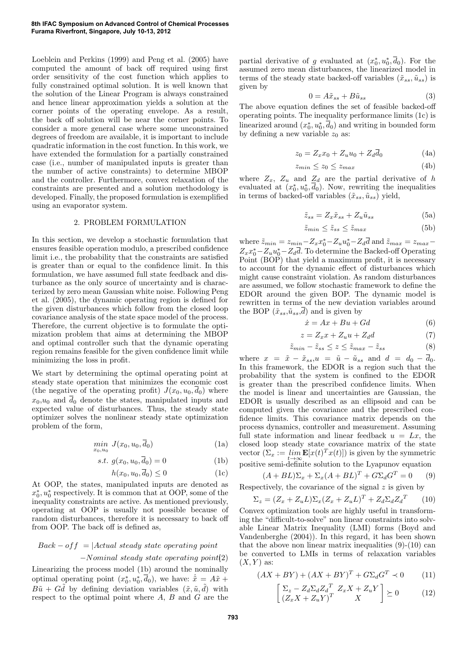Loeblein and Perkins (1999) and Peng et al. (2005) have computed the amount of back off required using first order sensitivity of the cost function which applies to fully constrained optimal solution. It is well known that the solution of the Linear Program is always constrained and hence linear approximation yields a solution at the corner points of the operating envelope. As a result, the back off solution will be near the corner points. To consider a more general case where some unconstrained degrees of freedom are available, it is important to include quadratic information in the cost function. In this work, we have extended the formulation for a partially constrained case (i.e., number of manipulated inputs is greater than the number of active constraints) to determine MBOP and the controller. Furthermore, convex relaxation of the constraints are presented and a solution methodology is developed. Finally, the proposed formulation is exemplified using an evaporator system.

### 2. PROBLEM FORMULATION

In this section, we develop a stochastic formulation that ensures feasible operation modulo, a prescribed confidence limit i.e., the probability that the constraints are satisfied is greater than or equal to the confidence limit. In this formulation, we have assumed full state feedback and disturbance as the only source of uncertainty and is characterized by zero mean Gaussian white noise. Following Peng et al. (2005), the dynamic operating region is defined for the given disturbances which follow from the closed loop covariance analysis of the state space model of the process. Therefore, the current objective is to formulate the optimization problem that aims at determining the MBOP and optimal controller such that the dynamic operating region remains feasible for the given confidence limit while minimizing the loss in profit.

We start by determining the optimal operating point at steady state operation that minimizes the economic cost (the negative of the operating profit)  $J(x_0, u_0, \overline{d}_0)$  where  $x_0, u_0$  and  $\overline{d}_0$  denote the states, manipulated inputs and expected value of disturbances. Thus, the steady state optimizer solves the nonlinear steady state optimization problem of the form,

$$
\min_{x_0, u_0} J(x_0, u_0, \overline{d}_0) \tag{1a}
$$

$$
s.t. \ g(x_0, u_0, d_0) = 0 \tag{1b}
$$

$$
h(x_0, u_0, d_0) \le 0 \tag{1c}
$$

At OOP, the states, manipulated inputs are denoted as  $x_0^*, u_0^*$  respectively. It is common that at OOP, some of the inequality constraints are active. As mentioned previously, operating at OOP is usually not possible because of random disturbances, therefore it is necessary to back off from OOP. The back off is defined as,

# $Back-off = |Actual steady state operating point$

#### $-Vominal$  steady state operating point(2)

Linearizing the process model (1b) around the nominally optimal operating point  $(x_0^*, u_0^*, \overline{d}_0)$ , we have:  $\dot{\tilde{x}} = A\tilde{x} +$  $B\tilde{u} + G\tilde{d}$  by defining deviation variables  $(\tilde{x}, \tilde{u}, \tilde{d})$  with respect to the optimal point where A, B and G are the

partial derivative of g evaluated at  $(x_0^*, u_0^*, \overline{d}_0)$ . For the assumed zero mean disturbances, the linearized model in terms of the steady state backed-off variables  $(\tilde{x}_{ss}, \tilde{u}_{ss})$  is given by

$$
0 = A\tilde{x}_{ss} + B\tilde{u}_{ss} \tag{3}
$$

The above equation defines the set of feasible backed-off operating points. The inequality performance limits (1c) is linearized around  $(x_0^*, u_0^*, \overline{d}_0)$  and writing in bounded form by defining a new variable  $z_0$  as:

$$
z_0 = Z_x x_0 + Z_u u_0 + Z_d \overline{d}_0 \tag{4a}
$$

$$
z_{min} \le z_0 \le z_{max} \tag{4b}
$$

where  $Z_x$ ,  $Z_u$  and  $Z_d$  are the partial derivative of h evaluated at  $(x_0^*, u_0^*, \overline{d}_0)$ . Now, rewriting the inequalities in terms of backed-off variables  $(\tilde{x}_{ss}, \tilde{u}_{ss})$  yield,

$$
\tilde{z}_{ss} = Z_x \tilde{x}_{ss} + Z_u \tilde{u}_{ss} \tag{5a}
$$

$$
\tilde{z}_{min} \le \tilde{z}_{ss} \le \tilde{z}_{max} \tag{5b}
$$

where  $\tilde{z}_{min} = z_{min} - Z_x x_0^* - Z_u u_0^* - Z_d \overline{d}$  and  $\tilde{z}_{max} = z_{max} - \overline{d}$  $Z_x x_0^* - Z_u u_0^* - Z_d \overline{d}$ . To determine the Backed-off Operating Point (BOP) that yield a maximum profit, it is necessary to account for the dynamic effect of disturbances which might cause constraint violation. As random disturbances are assumed, we follow stochastic framework to define the EDOR around the given BOP. The dynamic model is rewritten in terms of the new deviation variables around the BOP  $(\tilde{x}_{ss}, \tilde{u}_{ss}, d)$  and is given by

$$
\dot{x} = Ax + Bu + Gd \tag{6}
$$

$$
z = Z_x x + Z_u u + Z_d d \tag{7}
$$

$$
\tilde{z}_{min} - \tilde{z}_{ss} \le z \le \tilde{z}_{max} - \tilde{z}_{ss} \tag{8}
$$

where  $x = \tilde{x} - \tilde{x}_{ss}$ ,  $u = \tilde{u} - \tilde{u}_{ss}$  and  $d = d_0 - \overline{d}_0$ . In this framework, the EDOR is a region such that the probability that the system is confined to the EDOR is greater than the prescribed confidence limits. When the model is linear and uncertainties are Gaussian, the EDOR is usually described as an ellipsoid and can be computed given the covariance and the prescribed confidence limits. This covariance matrix depends on the process dynamics, controller and measurement. Assuming full state information and linear feedback  $u = Lx$ , the closed loop steady state covariance matrix of the state vector  $(\Sigma_x := \lim_{t\to\infty} \mathbf{E}[x(t)^T x(t)])$  is given by the symmetric positive semi-definite solution to the Lyapunov equation

$$
(A + BL)\Sigma_x + \Sigma_x (A + BL)^T + G\Sigma_d G^T = 0 \qquad (9)
$$

Respectively, the covariance of the signal  $z$  is given by

$$
\Sigma_z = (Z_x + Z_u L) \Sigma_x (Z_x + Z_u L)^T + Z_d \Sigma_d Z_d^T \qquad (10)
$$

Convex optimization tools are highly useful in transforming the "difficult-to-solve" non linear constraints into solvable Linear Matrix Inequality (LMI) forms (Boyd and Vandenberghe (2004)). In this regard, it has been shown that the above non linear matrix inequalities  $(9)-(10)$  can be converted to LMIs in terms of relaxation variables  $(X, Y)$  as:

$$
(AX + BY) + (AX + BY)^T + G\Sigma_d G^T \prec 0 \tag{11}
$$

$$
\begin{bmatrix} \Sigma_z - Z_d \Sigma_d Z_d^T Z_x X + Z_u Y \\ (Z_x X + Z_u Y)^T X \end{bmatrix} \succeq 0 \tag{12}
$$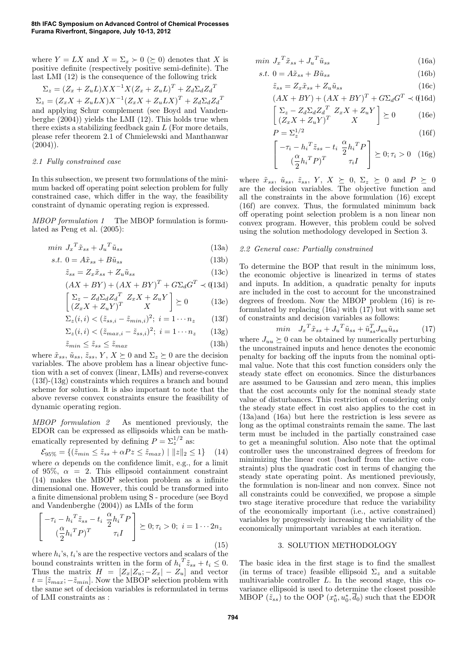where  $Y = LX$  and  $X = \Sigma_x \succ 0 \ (\succeq 0)$  denotes that X is positive definite (respectively positive semi-definite). The last LMI (12) is the consequence of the following trick

$$
\Sigma_z = (Z_x + Z_u L)XX^{-1}X(Z_x + Z_u L)^T + Z_d \Sigma_d Z_d^T
$$
  
\n
$$
\Sigma_z = (Z_x X + Z_u L X)X^{-1}(Z_x X + Z_u L X)^T + Z_d \Sigma_d Z_d^T
$$
  
\nand applying Schur complement (see Boyd and Vanden-  
\nberghe (2004)) yields the LMI (12). This holds true when  
\nthere exists a stabilizing feedback gain L (For more details,  
\nplease refer theorem 2.1 of Chmielewski and Manhattanwar  
\n(2004)).

#### 2.1 Fully constrained case

In this subsection, we present two formulations of the minimum backed off operating point selection problem for fully constrained case, which differ in the way, the feasibility constraint of dynamic operating region is expressed.

MBOP formulation 1 The MBOP formulation is formulated as Peng et al. (2005):

$$
min J_x^T \tilde{x}_{ss} + J_u^T \tilde{u}_{ss} \tag{13a}
$$

$$
s.t. \ 0 = A\tilde{x}_{ss} + B\tilde{u}_{ss} \tag{13b}
$$

$$
\tilde{z}_{ss} = Z_x \tilde{x}_{ss} + Z_u \tilde{u}_{ss} \tag{13c}
$$

$$
(AX + BY) + (AX + BY)^{T} + G\Sigma_d G^{T} \prec (13d)
$$

$$
\begin{bmatrix} \Sigma_z - Z_d \Sigma_d Z_d^T Z_x X + Z_u Y \\ (Z_x X + Z_u Y)^T & X \end{bmatrix} \succeq 0 \tag{13e}
$$

$$
\Sigma_z(i,i) < (\tilde{z}_{ss,i} - \tilde{z}_{min,i})^2; \ i = 1 \cdots n_z \qquad (13f)
$$

$$
\Sigma_z(i, i) < (\tilde{z}_{max, i} - \tilde{z}_{ss, i})^2; \ i = 1 \cdots n_z \qquad (13g)
$$

$$
\tilde{z}_{min} \le \tilde{z}_{ss} \le \tilde{z}_{max} \tag{13h}
$$

where  $\tilde{x}_{ss}$ ,  $\tilde{u}_{ss}$ ,  $\tilde{z}_{ss}$ ,  $Y$ ,  $X \succeq 0$  and  $\Sigma_z \succeq 0$  are the decision variables. The above problem has a linear objective function with a set of convex (linear, LMIs) and reverse-convex (13f)-(13g) constraints which requires a branch and bound scheme for solution. It is also important to note that the above reverse convex constraints ensure the feasibility of dynamic operating region.

MBOP formulation 2 As mentioned previously, the EDOR can be expressed as ellipsoids which can be mathematically represented by defining  $P = \sum_{z}^{1/2}$  as:

 $\mathcal{E}_{95\%} = \{(\tilde{z}_{min} \leq \tilde{z}_{ss} + \alpha Pz \leq \tilde{z}_{max}) \mid ||z||_2 \leq 1\}$  (14) where  $\alpha$  depends on the confidence limit, e.g., for a limit of 95%,  $\alpha = 2$ . This ellipsoid containment constraint (14) makes the MBOP selection problem as a infinite dimensional one. However, this could be transformed into a finite dimensional problem using S - procedure (see Boyd and Vandenberghe (2004)) as LMIs of the form

$$
\begin{bmatrix}\n-\tau_i - h_i^T \tilde{z}_{ss} - t_i \frac{\alpha}{2} h_i^T P \\
(\frac{\alpha}{2} h_i^T P)^T & \tau_i I\n\end{bmatrix} \succeq 0; \tau_i > 0; \ i = 1 \cdots 2n_z
$$
\n(15)

where  $h_i$ 's,  $t_i$ 's are the respective vectors and scalars of the bound constraints written in the form of  $h_i^T \tilde{z}_{ss} + t_i \leq 0$ . Thus the matrix  $H = [Z_x | Z_u; -Z_x] - Z_u]$  and vector  $t = [\tilde{z}_{max}; -\tilde{z}_{min}]$ . Now the MBOP selection problem with the same set of decision variables is reformulated in terms of LMI constraints as :

$$
min \ J_x^T \tilde{x}_{ss} + J_u^T \tilde{u}_{ss} \tag{16a}
$$

$$
s.t. 0 = A\tilde{x}_{ss} + B\tilde{u}_{ss} \tag{16b}
$$

$$
\tilde{z}_{ss} = Z_x \tilde{x}_{ss} + Z_u \tilde{u}_{ss} \tag{16c}
$$

$$
(AX + BY) + (AX + BY)^{T} + G\Sigma_d G^{T} \prec (16d)
$$
  

$$
\left[\Sigma_z - Z_d \Sigma_d Z_d^{T} Z_x X + Z_u Y\right], \quad (16)
$$

$$
\begin{bmatrix} \Sigma_z - Z_d \Sigma_d Z_d^T Z_x X + Z_u Y \\ (Z_x X + Z_u Y)^T & X \end{bmatrix} \succeq 0 \quad (16e)
$$

$$
P = \Sigma_z^{1/2} \tag{16f}
$$

$$
\begin{bmatrix} -\tau_i - h_i^T \tilde{z}_{ss} - t_i \frac{\alpha}{2} h_i^T P \\ (\frac{\alpha}{2} h_i^T P)^T & \tau_i I \end{bmatrix} \succeq 0; \tau_i > 0 \quad (16g)
$$

where  $\tilde{x}_{ss}$ ,  $\tilde{u}_{ss}$ ,  $\tilde{z}_{ss}$ ,  $Y$ ,  $X \geq 0$ ,  $\Sigma_z \geq 0$  and  $P \geq 0$ are the decision variables. The objective function and all the constraints in the above formulation (16) except (16f) are convex. Thus, the formulated minimum back off operating point selection problem is a non linear non convex program. However, this problem could be solved using the solution methodology developed in Section 3.

### 2.2 General case: Partially constrained

To determine the BOP that result in the minimum loss, the economic objective is linearized in terms of states and inputs. In addition, a quadratic penalty for inputs are included in the cost to account for the unconstrained degrees of freedom. Now the MBOP problem (16) is reformulated by replacing (16a) with (17) but with same set of constraints and decision variables as follows:

$$
min \quad J_x^T \tilde{x}_{ss} + J_u^T \tilde{u}_{ss} + \tilde{u}_{ss}^T J_{uu} \tilde{u}_{ss} \tag{17}
$$

where  $J_{uu} \succeq 0$  can be obtained by numerically perturbing the unconstrained inputs and hence denotes the economic penalty for backing off the inputs from the nominal optimal value. Note that this cost function considers only the steady state effect on economics. Since the disturbances are assumed to be Gaussian and zero mean, this implies that the cost accounts only for the nominal steady state value of disturbances. This restriction of considering only the steady state effect in cost also applies to the cost in (13a)and (16a) but here the restriction is less severe as long as the optimal constraints remain the same. The last term must be included in the partially constrained case to get a meaningful solution. Also note that the optimal controller uses the unconstrained degrees of freedom for minimizing the linear cost (backoff from the active constraints) plus the quadratic cost in terms of changing the steady state operating point. As mentioned previously, the formulation is non-linear and non convex. Since not all constraints could be convexified, we propose a simple two stage iterative procedure that reduce the variability of the economically important (i.e., active constrained) variables by progressively increasing the variability of the economically unimportant variables at each iteration.

# 3. SOLUTION METHODOLOGY

The basic idea in the first stage is to find the smallest (in terms of trace) feasible ellipsoid  $\Sigma_z$  and a suitable multivariable controller L. In the second stage, this covariance ellipsoid is used to determine the closest possible MBOP  $(\tilde{z}_{ss})$  to the OOP  $(x_0^*, u_0^*, \bar{d}_0)$  such that the EDOR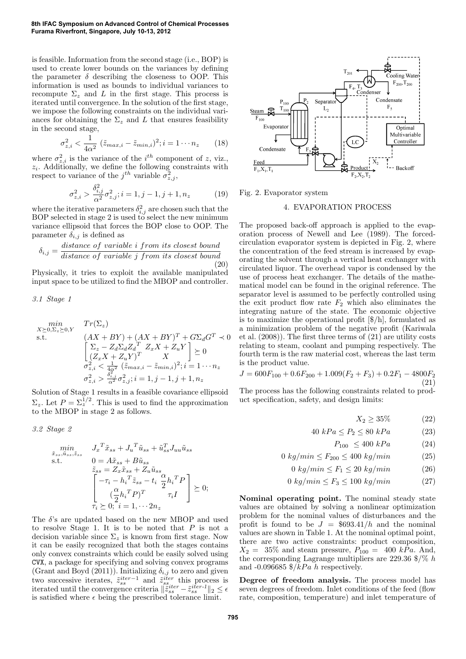### **8th IFAC Symposium on Advanced Control of Chemical Processes Furama Riverfront, Singapore, July 10-13, 2012**

is feasible. Information from the second stage (i.e., BOP) is used to create lower bounds on the variances by defining the parameter  $\delta$  describing the closeness to OOP. This information is used as bounds to individual variances to recompute  $\Sigma_z$  and L in the first stage. This process is iterated until convergence. In the solution of the first stage, we impose the following constraints on the individual variances for obtaining the  $\Sigma_z$  and L that ensures feasibility in the second stage,

$$
\sigma_{z,i}^2 < \frac{1}{4\alpha^2} \left( \tilde{z}_{max,i} - \tilde{z}_{min,i} \right)^2; i = 1 \cdots n_z \tag{18}
$$

where  $\sigma_{z,i}^2$  is the variance of the *i*<sup>th</sup> component of z, viz.,  $z_i$ . Additionally, we define the following constraints with respect to variance of the  $j^{th}$  variable  $\sigma_{z,j}^2$ ,

$$
\sigma_{z,i}^2 > \frac{\delta_{i,j}^2}{\alpha^2} \sigma_{z,j}^2; i = 1, j - 1, j + 1, n_z \tag{19}
$$

where the iterative parameters  $\delta_{i,j}^2$  are chosen such that the BOP selected in stage 2 is used to select the new minimum variance ellipsoid that forces the BOP close to OOP. The parameter  $\delta_{i,j}$  is defined as

$$
\delta_{i,j} = \frac{distance \ of \ variable \ i \ from \ its \ closest \ bound}{distance \ of \ variable \ j \ from \ its \ closest \ bound} \tag{20}
$$

Physically, it tries to exploit the available manipulated input space to be utilized to find the MBOP and controller.

3.1 Stage 1

$$
\min_{\substack{X \succeq 0, \Sigma_z \succeq 0, Y}} \quad Tr(\Sigma_z)
$$
\n
$$
\text{s.t.} \quad (AX + BY) + (AX + BY)^T + G\Sigma_d G^T \prec 0
$$
\n
$$
\begin{bmatrix}\n\Sigma_z - Z_d \Sigma_d Z_d^T & Z_x X + Z_u Y \\
(Z_x X + Z_u Y)^T & X \\
\sigma_{z,i}^2 < \frac{1}{4\alpha^2} (\tilde{z}_{max,i} - \tilde{z}_{min,i})^2; i = 1 \cdots n_z \\
\sigma_{z,i}^2 > \frac{\delta_{i,j}^2}{\alpha^2} \sigma_{z,j}^2; i = 1, j - 1, j + 1, n_z\n\end{bmatrix}
$$

Solution of Stage 1 results in a feasible covariance ellipsoid  $\Sigma_z$ . Let  $P = \Sigma_z^{1/2}$ . This is used to find the approximation to the MBOP in stage 2 as follows.

3.2 Stage 2

$$
\min_{\tilde{x}_{ss}, \tilde{u}_{ss}, \tilde{z}_{ss}} J_x^T \tilde{x}_{ss} + J_u^T \tilde{u}_{ss} + \tilde{u}_{ss}^T J_{uu} \tilde{u}_{ss}
$$
\ns.t.\n
$$
0 = A\tilde{x}_{ss} + B\tilde{u}_{ss}
$$
\n
$$
\tilde{z}_{ss} = Z_x \tilde{x}_{ss} + Z_u \tilde{u}_{ss}
$$
\n
$$
\begin{bmatrix}\n-\tau_i - h_i^T \tilde{z}_{ss} - t_i \frac{\alpha}{2} h_i^T P \\
(\frac{\alpha}{2} h_i^T P)^T & \tau_i I\n\end{bmatrix} \succeq 0;
$$
\n
$$
\tau_i \succeq 0; \quad i = 1, \dots, 2n_z
$$

The  $\delta$ 's are updated based on the new MBOP and used to resolve Stage 1. It is to be noted that  $P$  is not a decision variable since  $\Sigma_z$  is known from first stage. Now it can be easily recognized that both the stages contains only convex constraints which could be easily solved using CVX, a package for specifying and solving convex programs (Grant and Boyd (2011)). Initializing  $\delta_{i,j}$  to zero and given two successive iterates,  $\tilde{z}_{ss}^{iter-1}$  and  $\tilde{z}_{ss}^{iter}$  this process is iterated until the convergence criteria  $\|\tilde{z}^{iter}_{ss} - \tilde{z}^{iter-1}_{ss}\|_2 \leq \epsilon$ is satisfied where  $\epsilon$  being the prescribed tolerance limit.



Fig. 2. Evaporator system

#### 4. EVAPORATION PROCESS

The proposed back-off approach is applied to the evaporation process of Newell and Lee (1989). The forcedcirculation evaporator system is depicted in Fig. 2, where the concentration of the feed stream is increased by evaporating the solvent through a vertical heat exchanger with circulated liquor. The overhead vapor is condensed by the use of process heat exchanger. The details of the mathematical model can be found in the original reference. The separator level is assumed to be perfectly controlled using the exit product flow rate  $F_2$  which also eliminates the integrating nature of the state. The economic objective is to maximize the operational profit [\$/h], formulated as a minimization problem of the negative profit (Kariwala et al. (2008)). The first three terms of (21) are utility costs relating to steam, coolant and pumping respectively. The fourth term is the raw material cost, whereas the last term is the product value.

$$
J = 600F_{100} + 0.6F_{200} + 1.009(F_2 + F_3) + 0.2F_1 - 4800F_2
$$
\n(21)

The process has the following constraints related to product specification, safety, and design limits:

$$
X_2 \ge 35\tag{22}
$$

$$
40 kPa \le P_2 \le 80 kPa \tag{23}
$$

$$
P_{100} \le 400 \; kPa \tag{24}
$$

$$
0 \; kg/min \le F_{200} \le 400 \; kg/min \tag{25}
$$

$$
0 \; kg/min \le F_1 \le 20 \; kg/min \tag{26}
$$

$$
0\ kg/min \le F_3 \le 100\ kg/min \tag{27}
$$

Nominal operating point. The nominal steady state values are obtained by solving a nonlinear optimization problem for the nominal values of disturbances and the profit is found to be  $J = $693.41/h$  and the nominal values are shown in Table 1. At the nominal optimal point, there are two active constraints: product composition,  $X_2 = 35\%$  and steam pressure,  $P_{100} = 400$  kPa. And, the corresponding Lagrange multipliers are 229.36  $\%/% h$ and -0.096685  $\frac{1}{2}$ /kPa h respectively.

Degree of freedom analysis. The process model has seven degrees of freedom. Inlet conditions of the feed (flow rate, composition, temperature) and inlet temperature of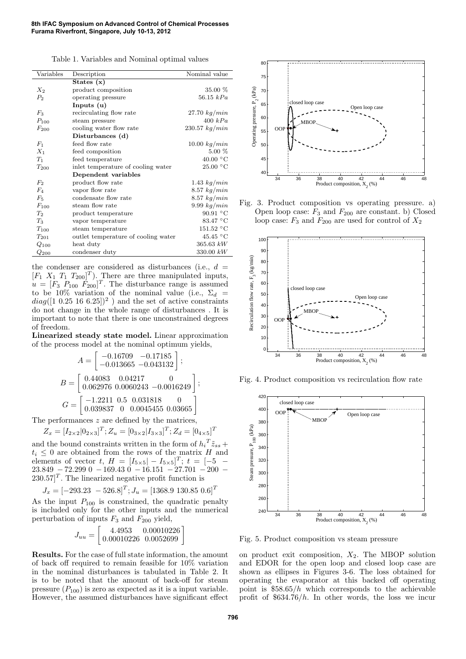| Variables      | Description                         | Nominal value     |  |  |  |
|----------------|-------------------------------------|-------------------|--|--|--|
|                | States $(x)$                        |                   |  |  |  |
| $X_2$          | product composition                 | 35.00 %           |  |  |  |
| P <sub>2</sub> | operating pressure                  | 56.15 $kPa$       |  |  |  |
|                | Inputs $(u)$                        |                   |  |  |  |
| $F_3$          | recirculating flow rate             | $27.70\ kg/min$   |  |  |  |
| $P_{100}$      | steam pressure                      | 400 kPa           |  |  |  |
| $F_{200}$      | cooling water flow rate             | $230.57\ kg/min$  |  |  |  |
|                | Disturbances (d)                    |                   |  |  |  |
| $F_1$          | feed flow rate                      | $10.00\ kg/min$   |  |  |  |
| $X_1$          | feed composition                    | $5.00\%$          |  |  |  |
| $T_1$          | feed temperature                    | $40.00\text{ °C}$ |  |  |  |
| $T_{200}$      | inlet temperature of cooling water  | $25.00\text{ °C}$ |  |  |  |
|                | Dependent variables                 |                   |  |  |  |
| F <sub>2</sub> | product flow rate                   | $1.43\ kg/min$    |  |  |  |
| $F_4$          | vapor flow rate                     | $8.57\ kg/min$    |  |  |  |
| $F_5$          | condensate flow rate                | $8.57\ kg/min$    |  |  |  |
| $F_{100}$      | steam flow rate                     | $9.99\ kg/min$    |  |  |  |
| $T_2$          | product temperature                 | 90.91 $\degree$ C |  |  |  |
| $T_3$          | vapor temperature                   | $83.47\text{ °C}$ |  |  |  |
| $T_{100}$      | steam temperature                   | 151.52 °C         |  |  |  |
| $T_{201}$      | outlet temperature of cooling water | $45.45\text{ °C}$ |  |  |  |
| $Q_{100}$      | heat duty                           | $365.63 \; kW$    |  |  |  |
| $Q_{200}$      | condenser duty                      | 330.00~kW         |  |  |  |

the condenser are considered as disturbances (i.e.,  $d =$  $[F_1 \ X_1 \ T_1 \ T_{200}]^T$ ). There are three manipulated inputs,  $u = [F_3 \ P_{100} \ \dot{F}_{200}]^T$ . The disturbance range is assumed to be 10% variation of the nominal value (i.e.,  $\Sigma_d$  =  $diag([1\;0.25\;16\;6.25])^2$ ) and the set of active constraints do not change in the whole range of disturbances . It is important to note that there is one unconstrained degrees of freedom.

Linearized steady state model. Linear approximation of the process model at the nominal optimum yields,

$$
A = \begin{bmatrix} -0.16709 & -0.17185 \\ -0.013665 & -0.043132 \end{bmatrix};
$$
  
\n
$$
B = \begin{bmatrix} 0.44083 & 0.04217 & 0 \\ 0.062976 & 0.0060243 & -0.0016249 \end{bmatrix};
$$
  
\n
$$
G = \begin{bmatrix} -1.2211 & 0.5 & 0.031818 & 0 \\ 0.039837 & 0 & 0.0045455 & 0.03665 \end{bmatrix}.
$$

The performances z are defined by the matrices,

$$
Z_x = [I_{2\times 2}|0_{2\times 3}]^T; Z_u = [0_{3\times 2}|I_{3\times 3}]^T; Z_d = [0_{4\times 5}]^T
$$

and the bound constraints written in the form of  $h_i^T \tilde{z}_{ss}$  +  $t_i \leq 0$  are obtained from the rows of the matrix H and elements of vector  $t, H = [I_{5\times5} - I_{5\times5}]^{T}$ ;  $t = [-5 -$ 23.849 − 72.299 0 − 169.43 0 − 16.151 − 27.701 − 200 −  $230.57$ <sup>T</sup>. The linearized negative profit function is

$$
J_x = [-293.23 \ -526.8]^T; J_u = [1368.9 \ 130.85 \ 0.6]^T
$$

As the input  $P_{100}$  is constrained, the quadratic penalty is included only for the other inputs and the numerical perturbation of inputs  $F_3$  and  $F_{200}$  yield,

$$
J_{uu} = \begin{bmatrix} 4.4953 & 0.00010226 \\ 0.00010226 & 0.0052699 \end{bmatrix}
$$

Results. For the case of full state information, the amount of back off required to remain feasible for 10% variation in the nominal disturbances is tabulated in Table 2. It is to be noted that the amount of back-off for steam pressure  $(P_{100})$  is zero as expected as it is a input variable. However, the assumed disturbances have significant effect



Fig. 3. Product composition vs operating pressure. a) Open loop case:  $F_3$  and  $F_{200}$  are constant. b) Closed loop case:  $F_3$  and  $F_{200}$  are used for control of  $X_2$ 



Fig. 4. Product composition vs recirculation flow rate



Fig. 5. Product composition vs steam pressure

on product exit composition,  $X_2$ . The MBOP solution and EDOR for the open loop and closed loop case are shown as ellipses in Figures 3-6. The loss obtained for operating the evaporator at this backed off operating point is  $$58.65/h$  which corresponds to the achievable profit of  $$634.76/h$ . In other words, the loss we incur